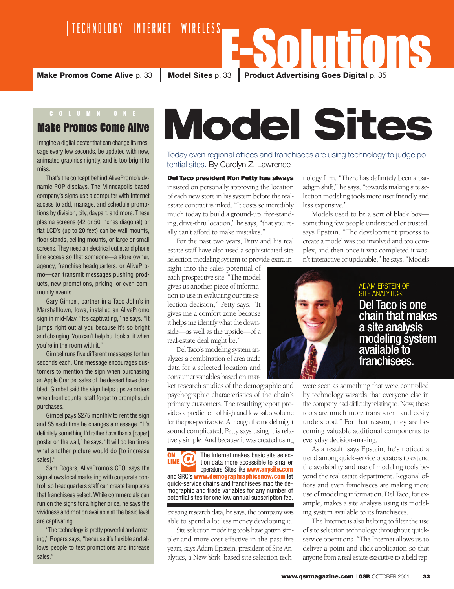E-Solutions **Make Promos Come Alive** p. 33 **Nodel Sites** p. 33 **Product Advertising Goes Digital** p. 35

## Make Promos Come Alive

Imagine a digital poster that can change its message every few seconds, be updated with new, animated graphics nightly, and is too bright to miss.

That's the concept behind AlivePromo's dynamic POP displays. The Minneapolis-based company's signs use a computer with Internet access to add, manage, and schedule promotions by division, city, daypart, and more. These plasma screens (42 or 50 inches diagonal) or flat LCD's (up to 20 feet) can be wall mounts, floor stands, ceiling mounts, or large or small screens. They need an electrical outlet and phone line access so that someone—a store owner, agency, franchise headquarters, or AlivePromo—can transmit messages pushing products, new promotions, pricing, or even community events.

Gary Gimbel, partner in a Taco John's in Marshalltown, Iowa, installed an AlivePromo sign in mid-May. "It's captivating," he says. "It jumps right out at you because it's so bright and changing. You can't help but look at it when you're in the room with it."

Gimbel runs five different messages for ten seconds each. One message encourages customers to mention the sign when purchasing an Apple Grande; sales of the dessert have doubled. Gimbel said the sign helps upsize orders when front counter staff forget to prompt such purchases.

Gimbel pays \$275 monthly to rent the sign and \$5 each time he changes a message. "It's definitely something I'd rather have than a [paper] poster on the wall," he says. "It will do ten times what another picture would do [to increase sales]."

Sam Rogers, AlivePromo's CEO, says the sign allows local marketing with corporate control, so headquarters staff can create templates that franchisees select. While commercials can run on the signs for a higher price, he says the vividness and motion available at the basic level are captivating.

"The technology is pretty powerful and amazing," Rogers says, "because it's flexible and allows people to test promotions and increase sales."

## Model Sites

Today even regional offices and franchisees are using technology to judge potential sites. By Carolyn Z. Lawrence

Del Taco president Ron Petty has always insisted on personally approving the location of each new store in his system before the realestate contract is inked. "It costs so incredibly much today to build a ground-up, free-standing, drive-thru location," he says, "that you really can't afford to make mistakes."

For the past two years, Petty and his real estate staff have also used a sophisticated site selection modeling system to provide extra in-

sight into the sales potential of each prospective site. "The model gives us another piece of information to use in evaluating our site selection decision," Petty says. "It gives me a comfort zone because it helps me identify what the downside—as well as the upside—of a real-estate deal might be."

Del Taco's modeling system analyzes a combination of area trade data for a selected location and consumer variables based on mar-

ket research studies of the demographic and psychographic characteristics of the chain's primary customers. The resulting report provides a prediction of high and low sales volume for the prospective site. Although the model might sound complicated, Petty says using it is relatively simple. And because it was created using

The Internet makes basic site selection data more accessible to smaller **ON LINE** 

operators. Sites like **www.anysite.com** and SRC's **www.demographraphicsnow.com** let quick-service chains and franchisees map the demographic and trade variables for any number of potential sites for one low annual subscription fee.

existing research data, he says, the company was able to spend a lot less money developing it.

Site selection modeling tools have gotten simpler and more cost-effective in the past five years, says Adam Epstein, president of Site Analytics, a New York–based site selection technology firm. "There has definitely been a paradigm shift," he says, "towards making site selection modeling tools more user friendly and less expensive."

Models used to be a sort of black box something few people understood or trusted, says Epstein. "The development process to create a model was too involved and too complex, and then once it was completed it wasn't interactive or updatable," he says. "Models



## ADAM EPSTEIN OF SITE ANALYTICS: Del Taco is one chain that makes a site analysis modeling system available to franchisees.

were seen as something that were controlled by technology wizards that everyone else in the company had difficulty relating to. Now, these tools are much more transparent and easily understood." For that reason, they are becoming valuable additional components to everyday decision-making.

As a result, says Epstein, he's noticed a trend among quick-service operators to extend the availability and use of modeling tools beyond the real estate department. Regional offices and even franchisees are making more use of modeling information. Del Taco, for example, makes a site analysis using its modeling system available to its franchisees.

The Internet is also helping to filter the use of site selection technology throughout quickservice operations. "The Internet allows us to deliver a point-and-click application so that anyone from a real-estate executive to a field rep-